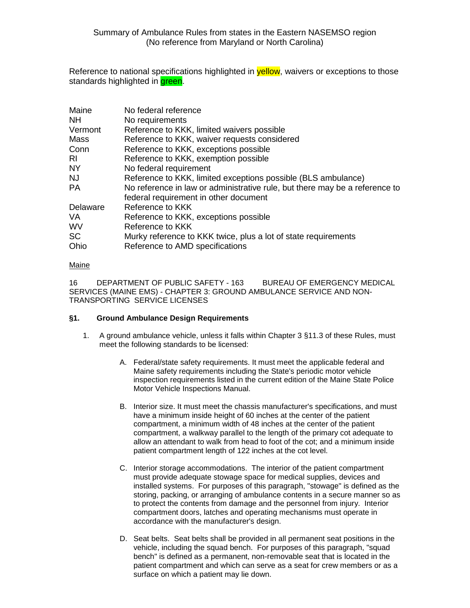Reference to national specifications highlighted in **yellow**, waivers or exceptions to those standards highlighted in **green**.

| Maine     | No federal reference                                                        |
|-----------|-----------------------------------------------------------------------------|
| NΗ        | No requirements                                                             |
| Vermont   | Reference to KKK, limited waivers possible                                  |
| Mass      | Reference to KKK, waiver requests considered                                |
| Conn      | Reference to KKK, exceptions possible                                       |
| RI        | Reference to KKK, exemption possible                                        |
| <b>NY</b> | No federal requirement                                                      |
| NJ        | Reference to KKK, limited exceptions possible (BLS ambulance)               |
| PA        | No reference in law or administrative rule, but there may be a reference to |
|           | federal requirement in other document                                       |
| Delaware  | Reference to KKK                                                            |
| VA        | Reference to KKK, exceptions possible                                       |
| WV        | Reference to KKK                                                            |
| <b>SC</b> | Murky reference to KKK twice, plus a lot of state requirements              |
| Ohio      | Reference to AMD specifications                                             |
|           |                                                                             |

# Maine

16 DEPARTMENT OF PUBLIC SAFETY - 163 BUREAU OF EMERGENCY MEDICAL SERVICES (MAINE EMS) - CHAPTER 3: GROUND AMBULANCE SERVICE AND NON-TRANSPORTING SERVICE LICENSES

# **§1. Ground Ambulance Design Requirements**

- 1. A ground ambulance vehicle, unless it falls within Chapter 3 §11.3 of these Rules, must meet the following standards to be licensed:
	- A. Federal/state safety requirements. It must meet the applicable federal and Maine safety requirements including the State's periodic motor vehicle inspection requirements listed in the current edition of the Maine State Police Motor Vehicle Inspections Manual.
	- B. Interior size. It must meet the chassis manufacturer's specifications, and must have a minimum inside height of 60 inches at the center of the patient compartment, a minimum width of 48 inches at the center of the patient compartment, a walkway parallel to the length of the primary cot adequate to allow an attendant to walk from head to foot of the cot; and a minimum inside patient compartment length of 122 inches at the cot level.
	- C. Interior storage accommodations. The interior of the patient compartment must provide adequate stowage space for medical supplies, devices and installed systems. For purposes of this paragraph, "stowage" is defined as the storing, packing, or arranging of ambulance contents in a secure manner so as to protect the contents from damage and the personnel from injury. Interior compartment doors, latches and operating mechanisms must operate in accordance with the manufacturer's design.
	- D. Seat belts. Seat belts shall be provided in all permanent seat positions in the vehicle, including the squad bench. For purposes of this paragraph, "squad bench" is defined as a permanent, non-removable seat that is located in the patient compartment and which can serve as a seat for crew members or as a surface on which a patient may lie down.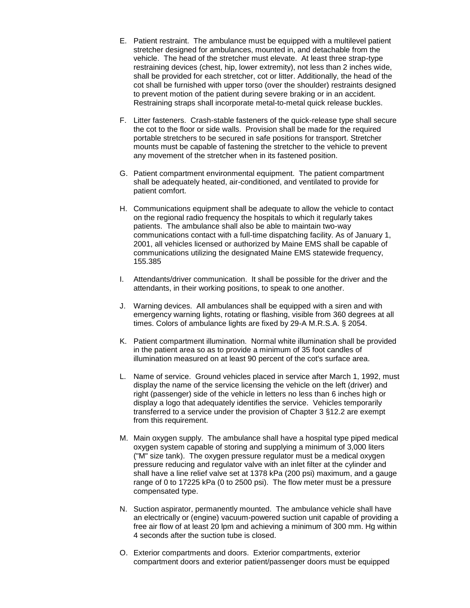- E. Patient restraint. The ambulance must be equipped with a multilevel patient stretcher designed for ambulances, mounted in, and detachable from the vehicle. The head of the stretcher must elevate. At least three strap-type restraining devices (chest, hip, lower extremity), not less than 2 inches wide, shall be provided for each stretcher, cot or litter. Additionally, the head of the cot shall be furnished with upper torso (over the shoulder) restraints designed to prevent motion of the patient during severe braking or in an accident. Restraining straps shall incorporate metal-to-metal quick release buckles.
- F. Litter fasteners. Crash-stable fasteners of the quick-release type shall secure the cot to the floor or side walls. Provision shall be made for the required portable stretchers to be secured in safe positions for transport. Stretcher mounts must be capable of fastening the stretcher to the vehicle to prevent any movement of the stretcher when in its fastened position.
- G. Patient compartment environmental equipment. The patient compartment shall be adequately heated, air-conditioned, and ventilated to provide for patient comfort.
- H. Communications equipment shall be adequate to allow the vehicle to contact on the regional radio frequency the hospitals to which it regularly takes patients. The ambulance shall also be able to maintain two-way communications contact with a full-time dispatching facility. As of January 1, 2001, all vehicles licensed or authorized by Maine EMS shall be capable of communications utilizing the designated Maine EMS statewide frequency, 155.385
- I. Attendants/driver communication. It shall be possible for the driver and the attendants, in their working positions, to speak to one another.
- J. Warning devices. All ambulances shall be equipped with a siren and with emergency warning lights, rotating or flashing, visible from 360 degrees at all times. Colors of ambulance lights are fixed by 29-A M.R.S.A. § 2054.
- K. Patient compartment illumination. Normal white illumination shall be provided in the patient area so as to provide a minimum of 35 foot candles of illumination measured on at least 90 percent of the cot's surface area.
- L. Name of service. Ground vehicles placed in service after March 1, 1992, must display the name of the service licensing the vehicle on the left (driver) and right (passenger) side of the vehicle in letters no less than 6 inches high or display a logo that adequately identifies the service. Vehicles temporarily transferred to a service under the provision of Chapter 3 §12.2 are exempt from this requirement.
- M. Main oxygen supply. The ambulance shall have a hospital type piped medical oxygen system capable of storing and supplying a minimum of 3,000 liters ("M" size tank). The oxygen pressure regulator must be a medical oxygen pressure reducing and regulator valve with an inlet filter at the cylinder and shall have a line relief valve set at 1378 kPa (200 psi) maximum, and a gauge range of 0 to 17225 kPa (0 to 2500 psi). The flow meter must be a pressure compensated type.
- N. Suction aspirator, permanently mounted. The ambulance vehicle shall have an electrically or (engine) vacuum-powered suction unit capable of providing a free air flow of at least 20 lpm and achieving a minimum of 300 mm. Hg within 4 seconds after the suction tube is closed.
- O. Exterior compartments and doors. Exterior compartments, exterior compartment doors and exterior patient/passenger doors must be equipped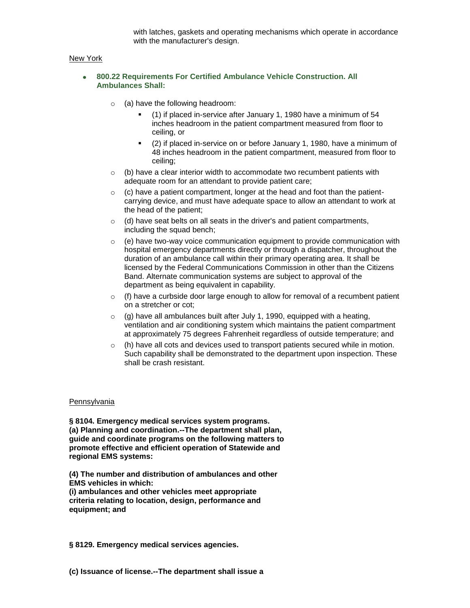with latches, gaskets and operating mechanisms which operate in accordance with the manufacturer's design.

## New York

## **800.22 Requirements For Certified Ambulance Vehicle Construction. All Ambulances Shall:**

- $\circ$  (a) have the following headroom:
	- (1) if placed in-service after January 1, 1980 have a minimum of 54 inches headroom in the patient compartment measured from floor to ceiling, or
	- (2) if placed in-service on or before January 1, 1980, have a minimum of 48 inches headroom in the patient compartment, measured from floor to ceiling;
- $\circ$  (b) have a clear interior width to accommodate two recumbent patients with adequate room for an attendant to provide patient care;
- $\circ$  (c) have a patient compartment, longer at the head and foot than the patientcarrying device, and must have adequate space to allow an attendant to work at the head of the patient;
- $\circ$  (d) have seat belts on all seats in the driver's and patient compartments, including the squad bench;
- $\circ$  (e) have two-way voice communication equipment to provide communication with hospital emergency departments directly or through a dispatcher, throughout the duration of an ambulance call within their primary operating area. It shall be licensed by the Federal Communications Commission in other than the Citizens Band. Alternate communication systems are subject to approval of the department as being equivalent in capability.
- $\circ$  (f) have a curbside door large enough to allow for removal of a recumbent patient on a stretcher or cot;
- $\circ$  (g) have all ambulances built after July 1, 1990, equipped with a heating, ventilation and air conditioning system which maintains the patient compartment at approximately 75 degrees Fahrenheit regardless of outside temperature; and
- $\circ$  (h) have all cots and devices used to transport patients secured while in motion. Such capability shall be demonstrated to the department upon inspection. These shall be crash resistant.

#### Pennsylvania

**§ 8104. Emergency medical services system programs. (a) Planning and coordination.--The department shall plan, guide and coordinate programs on the following matters to promote effective and efficient operation of Statewide and regional EMS systems:**

**(4) The number and distribution of ambulances and other EMS vehicles in which:**

**(i) ambulances and other vehicles meet appropriate criteria relating to location, design, performance and equipment; and**

**§ 8129. Emergency medical services agencies.**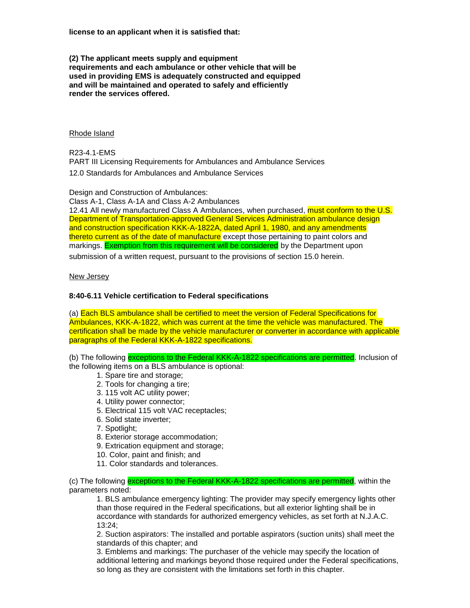**license to an applicant when it is satisfied that:**

**(2) The applicant meets supply and equipment requirements and each ambulance or other vehicle that will be used in providing EMS is adequately constructed and equipped and will be maintained and operated to safely and efficiently render the services offered.**

## Rhode Island

R23-4.1-EMS PART III Licensing Requirements for Ambulances and Ambulance Services 12.0 Standards for Ambulances and Ambulance Services

Design and Construction of Ambulances:

Class A-1, Class A-1A and Class A-2 Ambulances

12.41 All newly manufactured Class A Ambulances, when purchased, must conform to the U.S. Department of Transportation-approved General Services Administration ambulance design and construction specification KKK-A-1822A, dated April 1, 1980, and any amendments thereto current as of the date of manufacture except those pertaining to paint colors and markings. Exemption from this requirement will be considered by the Department upon

submission of a written request, pursuant to the provisions of section 15.0 herein.

#### New Jersey

## **8:40-6.11 Vehicle certification to Federal specifications**

(a) Each BLS ambulance shall be certified to meet the version of Federal Specifications for Ambulances, KKK-A-1822, which was current at the time the vehicle was manufactured. The certification shall be made by the vehicle manufacturer or converter in accordance with applicable paragraphs of the Federal KKK-A-1822 specifications.

(b) The following exceptions to the Federal KKK-A-1822 specifications are permitted. Inclusion of the following items on a BLS ambulance is optional:

- 1. Spare tire and storage;
- 2. Tools for changing a tire;
- 3. 115 volt AC utility power;
- 4. Utility power connector;
- 5. Electrical 115 volt VAC receptacles;
- 6. Solid state inverter;
- 7. Spotlight;
- 8. Exterior storage accommodation;
- 9. Extrication equipment and storage;
- 10. Color, paint and finish; and
- 11. Color standards and tolerances.

(c) The following exceptions to the Federal KKK-A-1822 specifications are permitted, within the parameters noted:

1. BLS ambulance emergency lighting: The provider may specify emergency lights other than those required in the Federal specifications, but all exterior lighting shall be in accordance with standards for authorized emergency vehicles, as set forth at N.J.A.C. 13:24;

2. Suction aspirators: The installed and portable aspirators (suction units) shall meet the standards of this chapter; and

3. Emblems and markings: The purchaser of the vehicle may specify the location of additional lettering and markings beyond those required under the Federal specifications, so long as they are consistent with the limitations set forth in this chapter.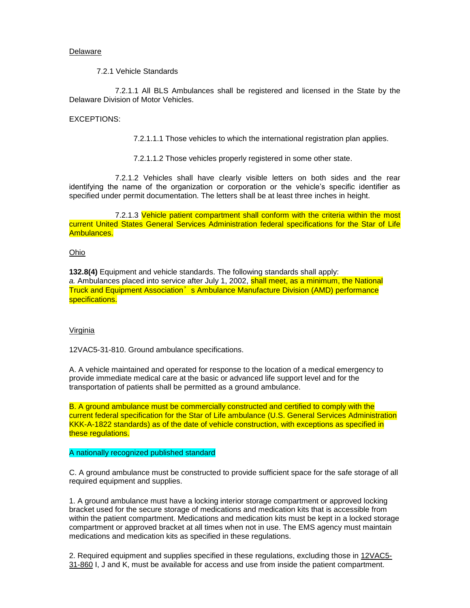#### Delaware

7.2.1 Vehicle Standards

7.2.1.1 All BLS Ambulances shall be registered and licensed in the State by the Delaware Division of Motor Vehicles.

## EXCEPTIONS:

7.2.1.1.1 Those vehicles to which the international registration plan applies.

7.2.1.1.2 Those vehicles properly registered in some other state.

7.2.1.2 Vehicles shall have clearly visible letters on both sides and the rear identifying the name of the organization or corporation or the vehicle's specific identifier as specified under permit documentation. The letters shall be at least three inches in height.

7.2.1.3 Vehicle patient compartment shall conform with the criteria within the most current United States General Services Administration federal specifications for the Star of Life Ambulances.

#### Ohio

**132.8(4)** Equipment and vehicle standards. The following standards shall apply: a. Ambulances placed into service after July 1, 2002, **shall meet, as a minimum, the National** Truck and Equipment Association's Ambulance Manufacture Division (AMD) performance specifications.

#### Virginia

12VAC5-31-810. Ground ambulance specifications.

A. A vehicle maintained and operated for response to the location of a medical emergency to provide immediate medical care at the basic or advanced life support level and for the transportation of patients shall be permitted as a ground ambulance.

B. A ground ambulance must be commercially constructed and certified to comply with the current federal specification for the Star of Life ambulance (U.S. General Services Administration KKK-A-1822 standards) as of the date of vehicle construction, with exceptions as specified in these regulations.

### A nationally recognized published standard

C. A ground ambulance must be constructed to provide sufficient space for the safe storage of all required equipment and supplies.

1. A ground ambulance must have a locking interior storage compartment or approved locking bracket used for the secure storage of medications and medication kits that is accessible from within the patient compartment. Medications and medication kits must be kept in a locked storage compartment or approved bracket at all times when not in use. The EMS agency must maintain medications and medication kits as specified in these regulations.

2. Required equipment and supplies specified in these regulations, excluding those in [12VAC5-](http://leg1.state.va.us/cgi-bin/legp504.exe?000+reg+12VAC5-31-860) [31-860](http://leg1.state.va.us/cgi-bin/legp504.exe?000+reg+12VAC5-31-860) I, J and K, must be available for access and use from inside the patient compartment.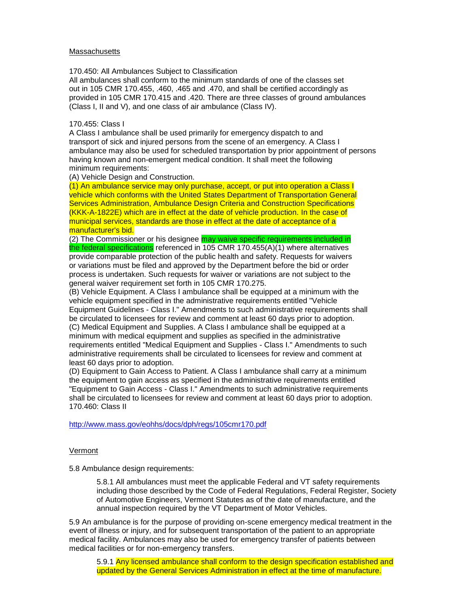#### **Massachusetts**

170.450: All Ambulances Subject to Classification

All ambulances shall conform to the minimum standards of one of the classes set out in 105 CMR 170.455, .460, .465 and .470, and shall be certified accordingly as provided in 105 CMR 170.415 and .420. There are three classes of ground ambulances (Class I, II and V), and one class of air ambulance (Class IV).

#### 170.455: Class I

A Class I ambulance shall be used primarily for emergency dispatch to and transport of sick and injured persons from the scene of an emergency. A Class I ambulance may also be used for scheduled transportation by prior appointment of persons having known and non-emergent medical condition. It shall meet the following minimum requirements:

(A) Vehicle Design and Construction.

(1) An ambulance service may only purchase, accept, or put into operation a Class I vehicle which conforms with the United States Department of Transportation General Services Administration, Ambulance Design Criteria and Construction Specifications (KKK-A-1822E) which are in effect at the date of vehicle production. In the case of municipal services, standards are those in effect at the date of acceptance of a manufacturer's bid.

(2) The Commissioner or his designee may waive specific requirements included in the federal specifications referenced in 105 CMR 170.455(A)(1) where alternatives provide comparable protection of the public health and safety. Requests for waivers or variations must be filed and approved by the Department before the bid or order process is undertaken. Such requests for waiver or variations are not subject to the general waiver requirement set forth in 105 CMR 170.275.

(B) Vehicle Equipment. A Class I ambulance shall be equipped at a minimum with the vehicle equipment specified in the administrative requirements entitled "Vehicle Equipment Guidelines - Class I." Amendments to such administrative requirements shall be circulated to licensees for review and comment at least 60 days prior to adoption. (C) Medical Equipment and Supplies. A Class I ambulance shall be equipped at a minimum with medical equipment and supplies as specified in the administrative requirements entitled "Medical Equipment and Supplies - Class I." Amendments to such administrative requirements shall be circulated to licensees for review and comment at least 60 days prior to adoption.

(D) Equipment to Gain Access to Patient. A Class I ambulance shall carry at a minimum the equipment to gain access as specified in the administrative requirements entitled "Equipment to Gain Access - Class I." Amendments to such administrative requirements shall be circulated to licensees for review and comment at least 60 days prior to adoption. 170.460: Class II

<http://www.mass.gov/eohhs/docs/dph/regs/105cmr170.pdf>

## Vermont

5.8 Ambulance design requirements:

5.8.1 All ambulances must meet the applicable Federal and VT safety requirements including those described by the Code of Federal Regulations, Federal Register, Society of Automotive Engineers, Vermont Statutes as of the date of manufacture, and the annual inspection required by the VT Department of Motor Vehicles.

5.9 An ambulance is for the purpose of providing on-scene emergency medical treatment in the event of illness or injury, and for subsequent transportation of the patient to an appropriate medical facility. Ambulances may also be used for emergency transfer of patients between medical facilities or for non-emergency transfers.

5.9.1 Any licensed ambulance shall conform to the design specification established and updated by the General Services Administration in effect at the time of manufacture.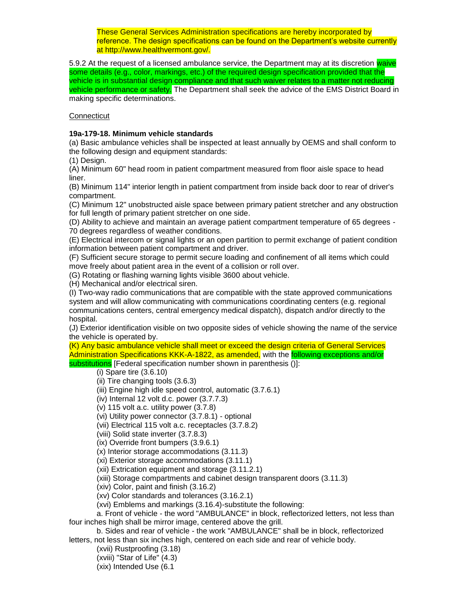These General Services Administration specifications are hereby incorporated by reference. The design specifications can be found on the Department's website currently at http://www.healthvermont.gov/.

5.9.2 At the request of a licensed ambulance service, the Department may at its discretion waive some details (e.g., color, markings, etc.) of the required design specification provided that the vehicle is in substantial design compliance and that such waiver relates to a matter not reducing vehicle performance or safety. The Department shall seek the advice of the EMS District Board in making specific determinations.

**Connecticut** 

## **19a-179-18. Minimum vehicle standards**

(a) Basic ambulance vehicles shall be inspected at least annually by OEMS and shall conform to the following design and equipment standards:

(1) Design.

(A) Minimum 60" head room in patient compartment measured from floor aisle space to head liner.

(B) Minimum 114" interior length in patient compartment from inside back door to rear of driver's compartment.

(C) Minimum 12" unobstructed aisle space between primary patient stretcher and any obstruction for full length of primary patient stretcher on one side.

(D) Ability to achieve and maintain an average patient compartment temperature of 65 degrees - 70 degrees regardless of weather conditions.

(E) Electrical intercom or signal lights or an open partition to permit exchange of patient condition information between patient compartment and driver.

(F) Sufficient secure storage to permit secure loading and confinement of all items which could move freely about patient area in the event of a collision or roll over.

(G) Rotating or flashing warning lights visible 3600 about vehicle.

(H) Mechanical and/or electrical siren.

(I) Two-way radio communications that are compatible with the state approved communications system and will allow communicating with communications coordinating centers (e.g. regional communications centers, central emergency medical dispatch), dispatch and/or directly to the hospital.

(J) Exterior identification visible on two opposite sides of vehicle showing the name of the service the vehicle is operated by.

(K) Any basic ambulance vehicle shall meet or exceed the design criteria of General Services Administration Specifications KKK-A-1822, as amended, with the following exceptions and/or substitutions [Federal specification number shown in parenthesis ()]:

## (i) Spare tire (3.6.10)

(ii) Tire changing tools (3.6.3)

- (iii) Engine high idle speed control, automatic (3.7.6.1)
- (iv) Internal 12 volt d.c. power (3.7.7.3)
- (v) 115 volt a.c. utility power (3.7.8)
- (vi) Utility power connector (3.7.8.1) optional
- (vii) Electrical 115 volt a.c. receptacles (3.7.8.2)
- (viii) Solid state inverter (3.7.8.3)
- (ix) Override front bumpers (3.9.6.1)
- (x) Interior storage accommodations (3.11.3)
- (xi) Exterior storage accommodations (3.11.1)
- (xii) Extrication equipment and storage (3.11.2.1)
- (xiii) Storage compartments and cabinet design transparent doors (3.11.3)
- (xiv) Color, paint and finish (3.16.2)
- (xv) Color standards and tolerances (3.16.2.1)
- (xvi) Emblems and markings (3.16.4)-substitute the following:

a. Front of vehicle - the word "AMBULANCE" in block, reflectorized letters, not less than four inches high shall be mirror image, centered above the grill.

b. Sides and rear of vehicle - the work "AMBULANCE" shall be in block, reflectorized letters, not less than six inches high, centered on each side and rear of vehicle body.

- (xvii) Rustproofing (3.18)
- (xviii) "Star of Life" (4.3)
- (xix) Intended Use (6.1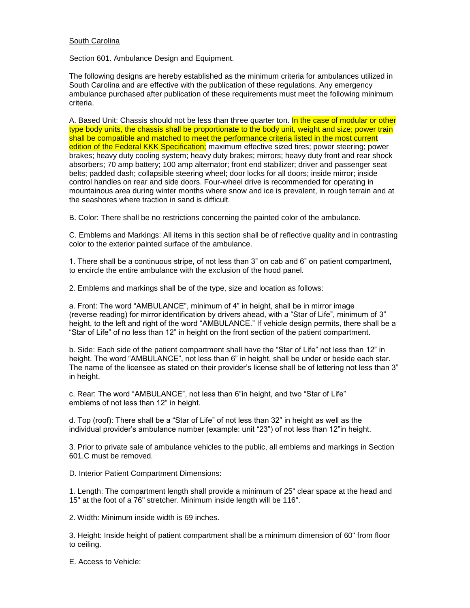## South Carolina

Section 601. Ambulance Design and Equipment.

The following designs are hereby established as the minimum criteria for ambulances utilized in South Carolina and are effective with the publication of these regulations. Any emergency ambulance purchased after publication of these requirements must meet the following minimum criteria.

A. Based Unit: Chassis should not be less than three quarter ton. In the case of modular or other type body units, the chassis shall be proportionate to the body unit, weight and size; power train shall be compatible and matched to meet the performance criteria listed in the most current edition of the Federal KKK Specification; maximum effective sized tires; power steering; power brakes; heavy duty cooling system; heavy duty brakes; mirrors; heavy duty front and rear shock absorbers; 70 amp battery; 100 amp alternator; front end stabilizer; driver and passenger seat belts; padded dash; collapsible steering wheel; door locks for all doors; inside mirror; inside control handles on rear and side doors. Four-wheel drive is recommended for operating in mountainous area during winter months where snow and ice is prevalent, in rough terrain and at the seashores where traction in sand is difficult.

B. Color: There shall be no restrictions concerning the painted color of the ambulance.

C. Emblems and Markings: All items in this section shall be of reflective quality and in contrasting color to the exterior painted surface of the ambulance.

1. There shall be a continuous stripe, of not less than 3" on cab and 6" on patient compartment, to encircle the entire ambulance with the exclusion of the hood panel.

2. Emblems and markings shall be of the type, size and location as follows:

a. Front: The word "AMBULANCE", minimum of 4" in height, shall be in mirror image (reverse reading) for mirror identification by drivers ahead, with a "Star of Life", minimum of 3" height, to the left and right of the word "AMBULANCE." If vehicle design permits, there shall be a "Star of Life" of no less than 12" in height on the front section of the patient compartment.

b. Side: Each side of the patient compartment shall have the "Star of Life" not less than 12" in height. The word "AMBULANCE", not less than 6" in height, shall be under or beside each star. The name of the licensee as stated on their provider's license shall be of lettering not less than 3" in height.

c. Rear: The word "AMBULANCE", not less than 6"in height, and two "Star of Life" emblems of not less than 12" in height.

d. Top (roof): There shall be a "Star of Life" of not less than 32" in height as well as the individual provider's ambulance number (example: unit "23") of not less than 12"in height.

3. Prior to private sale of ambulance vehicles to the public, all emblems and markings in Section 601.C must be removed.

D. Interior Patient Compartment Dimensions:

1. Length: The compartment length shall provide a minimum of 25" clear space at the head and 15" at the foot of a 76" stretcher. Minimum inside length will be 116".

2. Width: Minimum inside width is 69 inches.

3. Height: Inside height of patient compartment shall be a minimum dimension of 60" from floor to ceiling.

E. Access to Vehicle: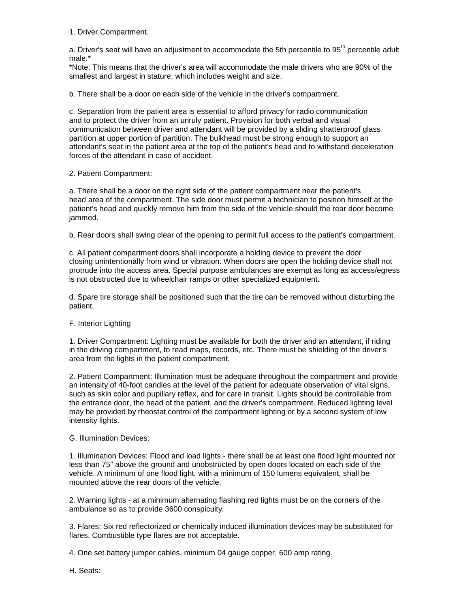1. Driver Compartment.

a. Driver's seat will have an adjustment to accommodate the 5th percentile to  $95<sup>th</sup>$  percentile adult male.\*

\*Note: This means that the driver's area will accommodate the male drivers who are 90% of the smallest and largest in stature, which includes weight and size.

b. There shall be a door on each side of the vehicle in the driver's compartment.

c. Separation from the patient area is essential to afford privacy for radio communication and to protect the driver from an unruly patient. Provision for both verbal and visual communication between driver and attendant will be provided by a sliding shatterproof glass partition at upper portion of partition. The bulkhead must be strong enough to support an attendant's seat in the patient area at the top of the patient's head and to withstand deceleration forces of the attendant in case of accident.

## 2. Patient Compartment:

a. There shall be a door on the right side of the patient compartment near the patient's head area of the compartment. The side door must permit a technician to position himself at the patient's head and quickly remove him from the side of the vehicle should the rear door become jammed.

b. Rear doors shall swing clear of the opening to permit full access to the patient's compartment.

c. All patient compartment doors shall incorporate a holding device to prevent the door closing unintentionally from wind or vibration. When doors are open the holding device shall not protrude into the access area. Special purpose ambulances are exempt as long as access/egress is not obstructed due to wheelchair ramps or other specialized equipment.

d. Spare tire storage shall be positioned such that the tire can be removed without disturbing the patient.

## F. Interior Lighting

1. Driver Compartment: Lighting must be available for both the driver and an attendant, if riding in the driving compartment, to read maps, records, etc. There must be shielding of the driver's area from the lights in the patient compartment.

2. Patient Compartment: Illumination must be adequate throughout the compartment and provide an intensity of 40-foot candles at the level of the patient for adequate observation of vital signs, such as skin color and pupillary reflex, and for care in transit. Lights should be controllable from the entrance door, the head of the patient, and the driver's compartment. Reduced lighting level may be provided by rheostat control of the compartment lighting or by a second system of low intensity lights.

## G. Illumination Devices:

1. Illumination Devices: Flood and load lights - there shall be at least one flood light mounted not less than 75" above the ground and unobstructed by open doors located on each side of the vehicle. A minimum of one flood light, with a minimum of 150 lumens equivalent, shall be mounted above the rear doors of the vehicle.

2. Warning lights - at a minimum alternating flashing red lights must be on the corners of the ambulance so as to provide 3600 conspicuity.

3. Flares: Six red reflectorized or chemically induced illumination devices may be substituted for flares. Combustible type flares are not acceptable.

4. One set battery jumper cables, minimum 04 gauge copper, 600 amp rating.

H. Seats: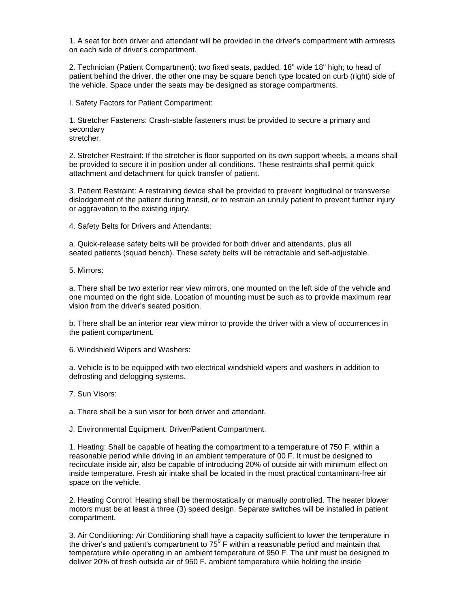1. A seat for both driver and attendant will be provided in the driver's compartment with armrests on each side of driver's compartment.

2. Technician (Patient Compartment): two fixed seats, padded, 18" wide 18" high; to head of patient behind the driver, the other one may be square bench type located on curb (right) side of the vehicle. Space under the seats may be designed as storage compartments.

I. Safety Factors for Patient Compartment:

1. Stretcher Fasteners: Crash-stable fasteners must be provided to secure a primary and secondary stretcher.

2. Stretcher Restraint: If the stretcher is floor supported on its own support wheels, a means shall be provided to secure it in position under all conditions. These restraints shall permit quick attachment and detachment for quick transfer of patient.

3. Patient Restraint: A restraining device shall be provided to prevent longitudinal or transverse dislodgement of the patient during transit, or to restrain an unruly patient to prevent further injury or aggravation to the existing injury.

4. Safety Belts for Drivers and Attendants:

a. Quick-release safety belts will be provided for both driver and attendants, plus all seated patients (squad bench). These safety belts will be retractable and self-adjustable.

5. Mirrors:

a. There shall be two exterior rear view mirrors, one mounted on the left side of the vehicle and one mounted on the right side. Location of mounting must be such as to provide maximum rear vision from the driver's seated position.

b. There shall be an interior rear view mirror to provide the driver with a view of occurrences in the patient compartment.

6. Windshield Wipers and Washers:

a. Vehicle is to be equipped with two electrical windshield wipers and washers in addition to defrosting and defogging systems.

7. Sun Visors:

a. There shall be a sun visor for both driver and attendant.

J. Environmental Equipment: Driver/Patient Compartment.

1. Heating: Shall be capable of heating the compartment to a temperature of 750 F. within a reasonable period while driving in an ambient temperature of 00 F. It must be designed to recirculate inside air, also be capable of introducing 20% of outside air with minimum effect on inside temperature. Fresh air intake shall be located in the most practical contaminant-free air space on the vehicle.

2. Heating Control: Heating shall be thermostatically or manually controlled. The heater blower motors must be at least a three (3) speed design. Separate switches will be installed in patient compartment.

3. Air Conditioning: Air Conditioning shall have a capacity sufficient to lower the temperature in the driver's and patient's compartment to 75 $^{\circ}$  F within a reasonable period and maintain that temperature while operating in an ambient temperature of 950 F. The unit must be designed to deliver 20% of fresh outside air of 950 F. ambient temperature while holding the inside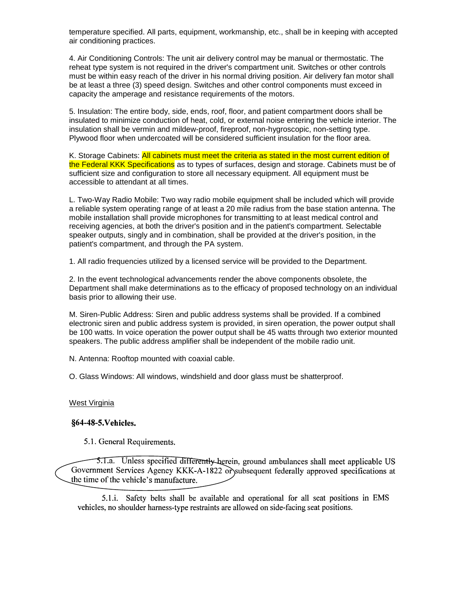temperature specified. All parts, equipment, workmanship, etc., shall be in keeping with accepted air conditioning practices.

4. Air Conditioning Controls: The unit air delivery control may be manual or thermostatic. The reheat type system is not required in the driver's compartment unit. Switches or other controls must be within easy reach of the driver in his normal driving position. Air delivery fan motor shall be at least a three (3) speed design. Switches and other control components must exceed in capacity the amperage and resistance requirements of the motors.

5. Insulation: The entire body, side, ends, roof, floor, and patient compartment doors shall be insulated to minimize conduction of heat, cold, or external noise entering the vehicle interior. The insulation shall be vermin and mildew-proof, fireproof, non-hygroscopic, non-setting type. Plywood floor when undercoated will be considered sufficient insulation for the floor area.

K. Storage Cabinets: All cabinets must meet the criteria as stated in the most current edition of the Federal KKK Specifications as to types of surfaces, design and storage. Cabinets must be of sufficient size and configuration to store all necessary equipment. All equipment must be accessible to attendant at all times.

L. Two-Way Radio Mobile: Two way radio mobile equipment shall be included which will provide a reliable system operating range of at least a 20 mile radius from the base station antenna. The mobile installation shall provide microphones for transmitting to at least medical control and receiving agencies, at both the driver's position and in the patient's compartment. Selectable speaker outputs, singly and in combination, shall be provided at the driver's position, in the patient's compartment, and through the PA system.

1. All radio frequencies utilized by a licensed service will be provided to the Department.

2. In the event technological advancements render the above components obsolete, the Department shall make determinations as to the efficacy of proposed technology on an individual basis prior to allowing their use.

M. Siren-Public Address: Siren and public address systems shall be provided. If a combined electronic siren and public address system is provided, in siren operation, the power output shall be 100 watts. In voice operation the power output shall be 45 watts through two exterior mounted speakers. The public address amplifier shall be independent of the mobile radio unit.

N. Antenna: Rooftop mounted with coaxial cable.

O. Glass Windows: All windows, windshield and door glass must be shatterproof.

#### West Virginia

## §64-48-5. Vehicles.

5.1. General Requirements.

5.1.a. Unless specified differently herein, ground ambulances shall meet applicable US Government Services Agency KKK-A-1822 or subsequent federally approved specifications at the time of the vehicle's manufacture.

5.1.i. Safety belts shall be available and operational for all seat positions in EMS vehicles, no shoulder harness-type restraints are allowed on side-facing seat positions.